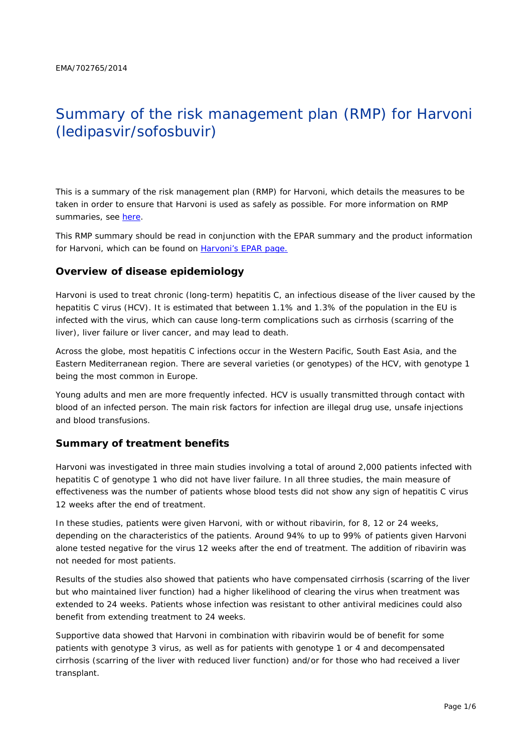# Summary of the risk management plan (RMP) for Harvoni (ledipasvir/sofosbuvir)

This is a summary of the risk management plan (RMP) for Harvoni, which details the measures to be taken in order to ensure that Harvoni is used as safely as possible. For more information on RMP summaries, see [here.](http://www.ema.europa.eu/docs/en_GB/document_library/Other/2014/05/WC500166101.pdf)

This RMP summary should be read in conjunction with the EPAR summary and the product information for Harvoni, which can be found on [Harvoni's EPAR page.](http://www.ema.europa.eu/ema/index.jsp?curl=/pages/medicines/human/medicines/003850/human_med_001813.jsp)

## **Overview of disease epidemiology**

Harvoni is used to treat chronic (long-term) hepatitis C, an infectious disease of the liver caused by the hepatitis C virus (HCV). It is estimated that between 1.1% and 1.3% of the population in the EU is infected with the virus, which can cause long-term complications such as cirrhosis (scarring of the liver), liver failure or liver cancer, and may lead to death.

Across the globe, most hepatitis C infections occur in the Western Pacific, South East Asia, and the Eastern Mediterranean region. There are several varieties (or genotypes) of the HCV, with genotype 1 being the most common in Europe.

Young adults and men are more frequently infected. HCV is usually transmitted through contact with blood of an infected person. The main risk factors for infection are illegal drug use, unsafe injections and blood transfusions.

## **Summary of treatment benefits**

Harvoni was investigated in three main studies involving a total of around 2,000 patients infected with hepatitis C of genotype 1 who did not have liver failure. In all three studies, the main measure of effectiveness was the number of patients whose blood tests did not show any sign of hepatitis C virus 12 weeks after the end of treatment.

In these studies, patients were given Harvoni, with or without ribavirin, for 8, 12 or 24 weeks, depending on the characteristics of the patients. Around 94% to up to 99% of patients given Harvoni alone tested negative for the virus 12 weeks after the end of treatment. The addition of ribavirin was not needed for most patients.

Results of the studies also showed that patients who have compensated cirrhosis (scarring of the liver but who maintained liver function) had a higher likelihood of clearing the virus when treatment was extended to 24 weeks. Patients whose infection was resistant to other antiviral medicines could also benefit from extending treatment to 24 weeks.

Supportive data showed that Harvoni in combination with ribavirin would be of benefit for some patients with genotype 3 virus, as well as for patients with genotype 1 or 4 and decompensated cirrhosis (scarring of the liver with reduced liver function) and/or for those who had received a liver transplant.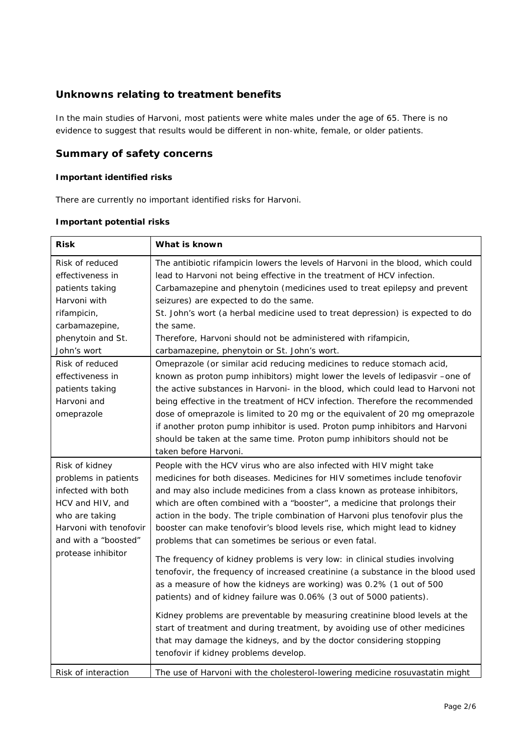## **Unknowns relating to treatment benefits**

In the main studies of Harvoni, most patients were white males under the age of 65. There is no evidence to suggest that results would be different in non-white, female, or older patients.

## **Summary of safety concerns**

#### *Important identified risks*

There are currently no important identified risks for Harvoni.

| <b>Risk</b>            | What is known                                                                    |  |  |
|------------------------|----------------------------------------------------------------------------------|--|--|
| Risk of reduced        | The antibiotic rifampicin lowers the levels of Harvoni in the blood, which could |  |  |
| effectiveness in       | lead to Harvoni not being effective in the treatment of HCV infection.           |  |  |
| patients taking        | Carbamazepine and phenytoin (medicines used to treat epilepsy and prevent        |  |  |
| Harvoni with           | seizures) are expected to do the same.                                           |  |  |
| rifampicin,            | St. John's wort (a herbal medicine used to treat depression) is expected to do   |  |  |
| carbamazepine,         | the same.                                                                        |  |  |
| phenytoin and St.      | Therefore, Harvoni should not be administered with rifampicin,                   |  |  |
| John's wort            | carbamazepine, phenytoin or St. John's wort.                                     |  |  |
| Risk of reduced        | Omeprazole (or similar acid reducing medicines to reduce stomach acid,           |  |  |
| effectiveness in       | known as proton pump inhibitors) might lower the levels of ledipasvir -one of    |  |  |
| patients taking        | the active substances in Harvoni- in the blood, which could lead to Harvoni not  |  |  |
| Harvoni and            | being effective in the treatment of HCV infection. Therefore the recommended     |  |  |
| omeprazole             | dose of omeprazole is limited to 20 mg or the equivalent of 20 mg omeprazole     |  |  |
|                        | if another proton pump inhibitor is used. Proton pump inhibitors and Harvoni     |  |  |
|                        | should be taken at the same time. Proton pump inhibitors should not be           |  |  |
|                        | taken before Harvoni.                                                            |  |  |
| Risk of kidney         | People with the HCV virus who are also infected with HIV might take              |  |  |
| problems in patients   | medicines for both diseases. Medicines for HIV sometimes include tenofovir       |  |  |
| infected with both     | and may also include medicines from a class known as protease inhibitors,        |  |  |
| HCV and HIV, and       | which are often combined with a "booster", a medicine that prolongs their        |  |  |
| who are taking         | action in the body. The triple combination of Harvoni plus tenofovir plus the    |  |  |
| Harvoni with tenofovir | booster can make tenofovir's blood levels rise, which might lead to kidney       |  |  |
| and with a "boosted"   | problems that can sometimes be serious or even fatal.                            |  |  |
| protease inhibitor     | The frequency of kidney problems is very low: in clinical studies involving      |  |  |
|                        | tenofovir, the frequency of increased creatinine (a substance in the blood used  |  |  |
|                        | as a measure of how the kidneys are working) was 0.2% (1 out of 500              |  |  |
|                        | patients) and of kidney failure was 0.06% (3 out of 5000 patients).              |  |  |
|                        | Kidney problems are preventable by measuring creatinine blood levels at the      |  |  |
|                        | start of treatment and during treatment, by avoiding use of other medicines      |  |  |
|                        | that may damage the kidneys, and by the doctor considering stopping              |  |  |
|                        | tenofovir if kidney problems develop.                                            |  |  |
| Risk of interaction    | The use of Harvoni with the cholesterol-lowering medicine rosuvastatin might     |  |  |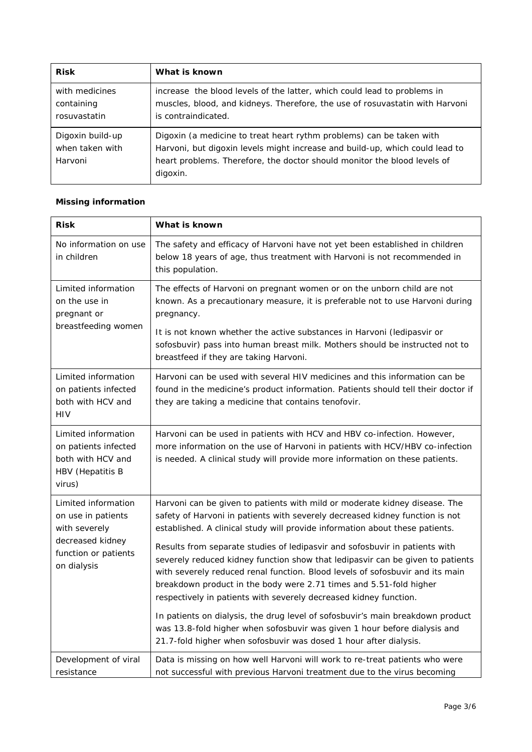| <b>Risk</b>                                    | What is known                                                                                                                                                                                                                                |
|------------------------------------------------|----------------------------------------------------------------------------------------------------------------------------------------------------------------------------------------------------------------------------------------------|
| with medicines<br>containing<br>rosuvastatin   | increase the blood levels of the latter, which could lead to problems in<br>muscles, blood, and kidneys. Therefore, the use of rosuvastatin with Harvoni<br>is contraindicated.                                                              |
| Digoxin build-up<br>when taken with<br>Harvoni | Digoxin (a medicine to treat heart rythm problems) can be taken with<br>Harvoni, but digoxin levels might increase and build-up, which could lead to<br>heart problems. Therefore, the doctor should monitor the blood levels of<br>digoxin. |

# *Missing information*

| <b>Risk</b>                                                                                    | What is known                                                                                                                                                                                                                                                                                                                                                                             |  |  |  |
|------------------------------------------------------------------------------------------------|-------------------------------------------------------------------------------------------------------------------------------------------------------------------------------------------------------------------------------------------------------------------------------------------------------------------------------------------------------------------------------------------|--|--|--|
| No information on use<br>in children                                                           | The safety and efficacy of Harvoni have not yet been established in children<br>below 18 years of age, thus treatment with Harvoni is not recommended in<br>this population.                                                                                                                                                                                                              |  |  |  |
| Limited information<br>on the use in<br>pregnant or<br>breastfeeding women                     | The effects of Harvoni on pregnant women or on the unborn child are not<br>known. As a precautionary measure, it is preferable not to use Harvoni during<br>pregnancy.<br>It is not known whether the active substances in Harvoni (ledipasvir or                                                                                                                                         |  |  |  |
|                                                                                                | sofosbuvir) pass into human breast milk. Mothers should be instructed not to<br>breastfeed if they are taking Harvoni.                                                                                                                                                                                                                                                                    |  |  |  |
| Limited information<br>on patients infected<br>both with HCV and<br>HIV                        | Harvoni can be used with several HIV medicines and this information can be<br>found in the medicine's product information. Patients should tell their doctor if<br>they are taking a medicine that contains tenofovir.                                                                                                                                                                    |  |  |  |
| Limited information<br>on patients infected<br>both with HCV and<br>HBV (Hepatitis B<br>virus) | Harvoni can be used in patients with HCV and HBV co-infection. However,<br>more information on the use of Harvoni in patients with HCV/HBV co-infection<br>is needed. A clinical study will provide more information on these patients.                                                                                                                                                   |  |  |  |
| Limited information<br>on use in patients<br>with severely                                     | Harvoni can be given to patients with mild or moderate kidney disease. The<br>safety of Harvoni in patients with severely decreased kidney function is not<br>established. A clinical study will provide information about these patients.                                                                                                                                                |  |  |  |
| decreased kidney<br>function or patients<br>on dialysis                                        | Results from separate studies of ledipasvir and sofosbuvir in patients with<br>severely reduced kidney function show that ledipasvir can be given to patients<br>with severely reduced renal function. Blood levels of sofosbuvir and its main<br>breakdown product in the body were 2.71 times and 5.51-fold higher<br>respectively in patients with severely decreased kidney function. |  |  |  |
|                                                                                                | In patients on dialysis, the drug level of sofosbuvir's main breakdown product<br>was 13.8-fold higher when sofosbuvir was given 1 hour before dialysis and<br>21.7-fold higher when sofosbuvir was dosed 1 hour after dialysis.                                                                                                                                                          |  |  |  |
| Development of viral<br>resistance                                                             | Data is missing on how well Harvoni will work to re-treat patients who were<br>not successful with previous Harvoni treatment due to the virus becoming                                                                                                                                                                                                                                   |  |  |  |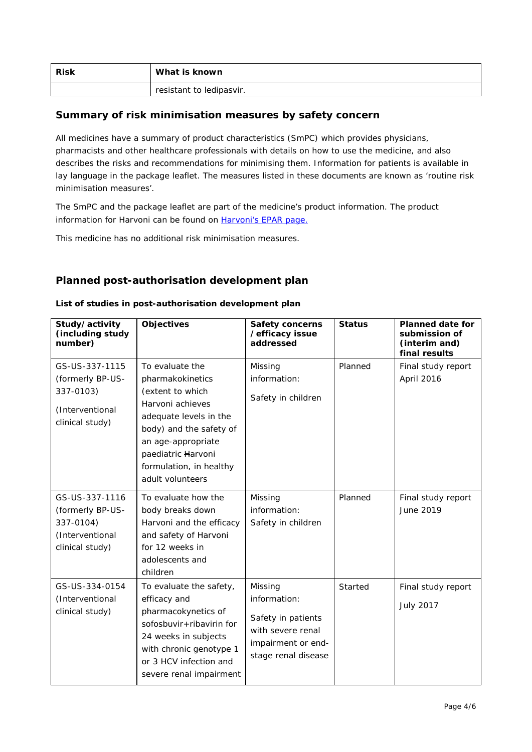| <b>Risk</b> | What is known            |
|-------------|--------------------------|
|             | resistant to ledipasvir. |

## **Summary of risk minimisation measures by safety concern**

All medicines have a summary of product characteristics (SmPC) which provides physicians, pharmacists and other healthcare professionals with details on how to use the medicine, and also describes the risks and recommendations for minimising them. Information for patients is available in lay language in the package leaflet. The measures listed in these documents are known as 'routine risk minimisation measures'.

The SmPC and the package leaflet are part of the medicine's product information. The product information for Harvoni can be found on [Harvoni's EPAR page.](http://www.ema.europa.eu/ema/index.jsp?curl=/pages/medicines/human/medicines/003850/human_med_001813.jsp)

This medicine has no additional risk minimisation measures.

## **Planned post-authorisation development plan**

| Study/activity<br>(including study<br>number)                                         | <b>Objectives</b>                                                                                                                                                                                                           | <b>Safety concerns</b><br>/efficacy issue<br>addressed                                                          | <b>Status</b> | <b>Planned date for</b><br>submission of<br>(interim and)<br>final results |
|---------------------------------------------------------------------------------------|-----------------------------------------------------------------------------------------------------------------------------------------------------------------------------------------------------------------------------|-----------------------------------------------------------------------------------------------------------------|---------------|----------------------------------------------------------------------------|
| GS-US-337-1115<br>(formerly BP-US-<br>337-0103)<br>(Interventional<br>clinical study) | To evaluate the<br>pharmakokinetics<br>(extent to which<br>Harvoni achieves<br>adequate levels in the<br>body) and the safety of<br>an age-appropriate<br>paediatric Harvoni<br>formulation, in healthy<br>adult volunteers | Missing<br>information:<br>Safety in children                                                                   | Planned       | Final study report<br>April 2016                                           |
| GS-US-337-1116<br>(formerly BP-US-<br>337-0104)<br>(Interventional<br>clinical study) | To evaluate how the<br>body breaks down<br>Harvoni and the efficacy<br>and safety of Harvoni<br>for 12 weeks in<br>adolescents and<br>children                                                                              | Missing<br>information:<br>Safety in children                                                                   | Planned       | Final study report<br>June 2019                                            |
| GS-US-334-0154<br>(Interventional<br>clinical study)                                  | To evaluate the safety,<br>efficacy and<br>pharmacokynetics of<br>sofosbuvir+ribavirin for<br>24 weeks in subjects<br>with chronic genotype 1<br>or 3 HCV infection and<br>severe renal impairment                          | Missing<br>information:<br>Safety in patients<br>with severe renal<br>impairment or end-<br>stage renal disease | Started       | Final study report<br><b>July 2017</b>                                     |

#### *List of studies in post-authorisation development plan*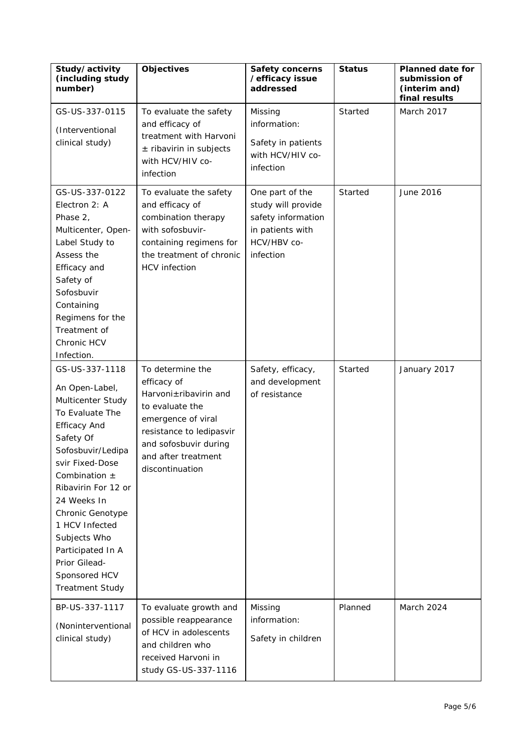| Study/activity<br>(including study<br>number)                                                                                                                                                                                                                                                                                                          | <b>Objectives</b>                                                                                                                                                                                | <b>Safety concerns</b><br>/efficacy issue<br>addressed                                                      | <b>Status</b> | <b>Planned date for</b><br>submission of<br>(interim and)<br>final results |
|--------------------------------------------------------------------------------------------------------------------------------------------------------------------------------------------------------------------------------------------------------------------------------------------------------------------------------------------------------|--------------------------------------------------------------------------------------------------------------------------------------------------------------------------------------------------|-------------------------------------------------------------------------------------------------------------|---------------|----------------------------------------------------------------------------|
| GS-US-337-0115<br>(Interventional<br>clinical study)                                                                                                                                                                                                                                                                                                   | To evaluate the safety<br>and efficacy of<br>treatment with Harvoni<br>$±$ ribavirin in subjects<br>with HCV/HIV co-<br>infection                                                                | Missing<br>information:<br>Safety in patients<br>with HCV/HIV co-<br>infection                              | Started       | March 2017                                                                 |
| GS-US-337-0122<br>Electron 2: A<br>Phase 2,<br>Multicenter, Open-<br>Label Study to<br>Assess the<br>Efficacy and<br>Safety of<br>Sofosbuvir<br>Containing<br>Regimens for the<br>Treatment of<br>Chronic HCV<br>Infection.                                                                                                                            | To evaluate the safety<br>and efficacy of<br>combination therapy<br>with sofosbuvir-<br>containing regimens for<br>the treatment of chronic<br><b>HCV</b> infection                              | One part of the<br>study will provide<br>safety information<br>in patients with<br>HCV/HBV co-<br>infection | Started       | June 2016                                                                  |
| GS-US-337-1118<br>An Open-Label,<br>Multicenter Study<br>To Evaluate The<br><b>Efficacy And</b><br>Safety Of<br>Sofosbuvir/Ledipa<br>svir Fixed-Dose<br>Combination $\pm$<br>Ribavirin For 12 or<br>24 Weeks In<br>Chronic Genotype<br>1 HCV Infected<br>Subjects Who<br>Participated In A<br>Prior Gilead-<br>Sponsored HCV<br><b>Treatment Study</b> | To determine the<br>efficacy of<br>Harvoni±ribavirin and<br>to evaluate the<br>emergence of viral<br>resistance to ledipasvir<br>and sofosbuvir during<br>and after treatment<br>discontinuation | Safety, efficacy,<br>and development<br>of resistance                                                       | Started       | January 2017                                                               |
| BP-US-337-1117<br>(Noninterventional<br>clinical study)                                                                                                                                                                                                                                                                                                | To evaluate growth and<br>possible reappearance<br>of HCV in adolescents<br>and children who<br>received Harvoni in<br>study GS-US-337-1116                                                      | Missing<br>information:<br>Safety in children                                                               | Planned       | March 2024                                                                 |